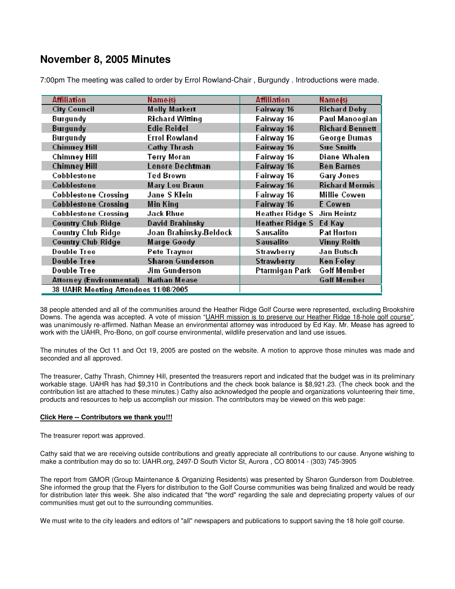## **November 8, 2005 Minutes**

| <b>Affiliation</b>                   | Name(s)                 | <b>Affiliation</b>                | Name(s)                |  |  |
|--------------------------------------|-------------------------|-----------------------------------|------------------------|--|--|
| <b>City Council</b>                  | <b>Molly Markert</b>    | Fairway 16                        | <b>Richard Doby</b>    |  |  |
| <b>Burgundy</b>                      | <b>Richard Witting</b>  | Fairway 16                        | Paul Manoogian         |  |  |
| <b>Burgundy</b>                      | <b>Edie Reidel</b>      | Fairway 16                        | <b>Richard Bennett</b> |  |  |
| <b>Burgundy</b>                      | <b>Errol Rowland</b>    | Fairway 16                        | <b>George Dumas</b>    |  |  |
| <b>Chimney Hill</b>                  | <b>Cathy Thrash</b>     | Fairway 16                        | <b>Sue Smith</b>       |  |  |
| <b>Chimney Hill</b>                  | <b>Terry Moran</b>      | Fairway 16                        | <b>Diane Whalen</b>    |  |  |
| <b>Chimney Hill</b>                  | Lenore Dechtman         | Fairway 16                        | <b>Ben Barnes</b>      |  |  |
| Cobblestone                          | <b>Ted Brown</b>        | Fairway 16                        | <b>Gary Jones</b>      |  |  |
| Cobblestone                          | Mary Lou Braun          | Fairway 16                        | <b>Richard Mermis</b>  |  |  |
| <b>Cobblestone Crossing</b>          | Jane S Klein            | Fairway 16                        | <b>Millie Cowen</b>    |  |  |
| <b>Cobblestone Crossing</b>          | Min King                | Fairway 16                        | E Cowen                |  |  |
| <b>Cobblestone Crossing</b>          | <b>Jack Rhue</b>        | <b>Heather Ridge S</b> Jim Heintz |                        |  |  |
| <b>Country Club Ridge</b>            | <b>David Brahinsky</b>  | Heather Ridge S Ed Kay            |                        |  |  |
| <b>Country Club Ridge</b>            | Joan Brahinsky-Beldock  | <b>Sausalito</b>                  | Pat Horton             |  |  |
| <b>Country Club Ridge</b>            | <b>Marge Goody</b>      | <b>Sausalito</b>                  | <b>Vinny Roith</b>     |  |  |
| <b>Double Tree</b>                   | Pete Traynor            | <b>Strawberry</b>                 | Jan Butsch             |  |  |
| <b>Double Tree</b>                   | <b>Sharon Gunderson</b> | <b>Strawberry</b>                 | Ken Foley              |  |  |
| <b>Double Tree</b>                   | <b>Jim Gunderson</b>    | Ptarmigan Park                    | <b>Golf Member</b>     |  |  |
| Attorney (Environmental)             | <b>Nathan Mease</b>     |                                   | <b>Golf Member</b>     |  |  |
| 38 UAHR Meeting Attendees 11/08/2005 |                         |                                   |                        |  |  |

7:00pm The meeting was called to order by Errol Rowland-Chair , Burgundy . Introductions were made.

38 people attended and all of the communities around the Heather Ridge Golf Course were represented, excluding Brookshire Downs. The agenda was accepted. A vote of mission "UAHR mission is to preserve our Heather Ridge 18-hole golf course", was unanimously re-affirmed. Nathan Mease an environmental attorney was introduced by Ed Kay. Mr. Mease has agreed to work with the UAHR, Pro-Bono, on golf course environmental, wildlife preservation and land use issues.

The minutes of the Oct 11 and Oct 19, 2005 are posted on the website. A motion to approve those minutes was made and seconded and all approved.

The treasurer, Cathy Thrash, Chimney Hill, presented the treasurers report and indicated that the budget was in its preliminary workable stage. UAHR has had \$9,310 in Contributions and the check book balance is \$8,921.23. (The check book and the contribution list are attached to these minutes.) Cathy also acknowledged the people and organizations volunteering their time, products and resources to help us accomplish our mission. The contributors may be viewed on this web page:

## **Click Here -- Contributors we thank you!!!**

The treasurer report was approved.

Cathy said that we are receiving outside contributions and greatly appreciate all contributions to our cause. Anyone wishing to make a contribution may do so to: UAHR.org, 2497-D South Victor St, Aurora , CO 80014 - (303) 745-3905

The report from GMOR (Group Maintenance & Organizing Residents) was presented by Sharon Gunderson from Doubletree. She informed the group that the Flyers for distribution to the Golf Course communities was being finalized and would be ready for distribution later this week. She also indicated that "the word" regarding the sale and depreciating property values of our communities must get out to the surrounding communities.

We must write to the city leaders and editors of "all" newspapers and publications to support saving the 18 hole golf course.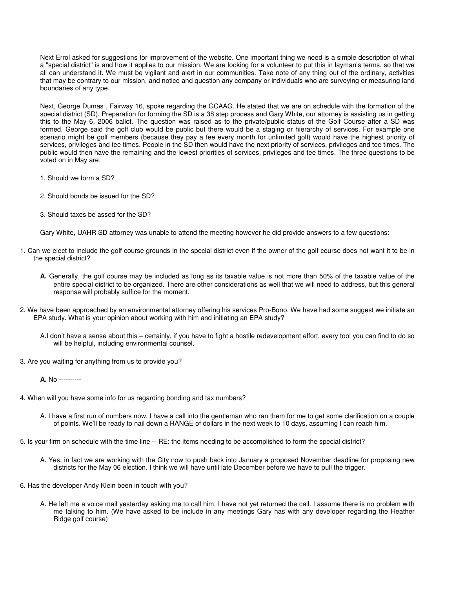Next Errol asked for suggestions for improvement of the website. One important thing we need is a simple description of what a "special district" is and how it applies to our mission. We are looking for a volunteer to put this in layman's terms, so that we all can understand it. We must be vigilant and alert in our communities. Take note of any thing out of the ordinary, activities that may be contrary to our mission, and notice and question any company or individuals who are surveying or measuring land boundaries of any type.

Next, George Dumas , Fairway 16, spoke regarding the GCAAG. He stated that we are on schedule with the formation of the special district (SD). Preparation for forming the SD is a 38 step process and Gary White, our attorney is assisting us in getting this to the May 6, 2006 ballot. The question was raised as to the private/public status of the Golf Course after a SD was formed. George said the golf club would be public but there would be a staging or hierarchy of services. For example one scenario might be golf members (because they pay a fee every month for unlimited golf) would have the highest priority of services, privileges and tee times. People in the SD then would have the next priority of services, privileges and tee times. The public would then have the remaining and the lowest priorities of services, privileges and tee times. The three questions to be voted on in May are:

- 1, Should we form a SD?
- 2. Should bonds be issued for the SD?
- 3. Should taxes be assed for the SD?

Gary White, UAHR SD attorney was unable to attend the meeting however he did provide answers to a few questions:

- 1. Can we elect to include the golf course grounds in the special district even if the owner of the golf course does not want it to be in the special district?
	- **A.** Generally, the golf course may be included as long as its taxable value is not more than 50% of the taxable value of the entire special district to be organized. There are other considerations as well that we will need to address, but this general response will probably suffice for the moment.
- 2. We have been approached by an environmental attorney offering his services Pro-Bono. We have had some suggest we initiate an EPA study. What is your opinion about working with him and initiating an EPA study?
	- A.I don't have a sense about this certainly, if you have to fight a hostile redevelopment effort, every tool you can find to do so will be helpful, including environmental counsel.
- 3. Are you waiting for anything from us to provide you?

**A.** No ----------

- 4. When will you have some info for us regarding bonding and tax numbers?
	- A. I have a first run of numbers now. I have a call into the gentleman who ran them for me to get some clarification on a couple of points. We'll be ready to nail down a RANGE of dollars in the next week to 10 days, assuming I can reach him.
- 5. Is your firm on schedule with the time line -- RE: the items needing to be accomplished to form the special district?
	- A. Yes, in fact we are working with the City now to push back into January a proposed November deadline for proposing new districts for the May 06 election. I think we will have until late December before we have to pull the trigger.
- 6. Has the developer Andy Klein been in touch with you?
	- A. He left me a voice mail yesterday asking me to call him. I have not yet returned the call. I assume there is no problem with me talking to him. (We have asked to be include in any meetings Gary has with any developer regarding the Heather Ridge golf course)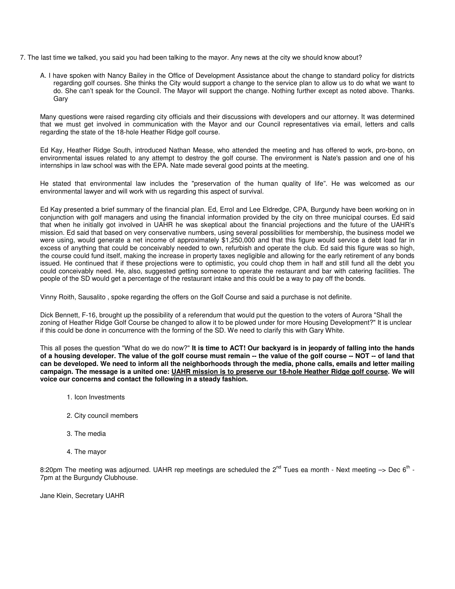- 7. The last time we talked, you said you had been talking to the mayor. Any news at the city we should know about?
	- A. I have spoken with Nancy Bailey in the Office of Development Assistance about the change to standard policy for districts regarding golf courses. She thinks the City would support a change to the service plan to allow us to do what we want to do. She can't speak for the Council. The Mayor will support the change. Nothing further except as noted above. Thanks. Gary

Many questions were raised regarding city officials and their discussions with developers and our attorney. It was determined that we must get involved in communication with the Mayor and our Council representatives via email, letters and calls regarding the state of the 18-hole Heather Ridge golf course.

Ed Kay, Heather Ridge South, introduced Nathan Mease, who attended the meeting and has offered to work, pro-bono, on environmental issues related to any attempt to destroy the golf course. The environment is Nate's passion and one of his internships in law school was with the EPA. Nate made several good points at the meeting.

He stated that environmental law includes the "preservation of the human quality of life". He was welcomed as our environmental lawyer and will work with us regarding this aspect of survival.

Ed Kay presented a brief summary of the financial plan. Ed, Errol and Lee Eldredge, CPA, Burgundy have been working on in conjunction with golf managers and using the financial information provided by the city on three municipal courses. Ed said that when he initially got involved in UAHR he was skeptical about the financial projections and the future of the UAHR's mission. Ed said that based on very conservative numbers, using several possibilities for membership, the business model we were using, would generate a net income of approximately \$1,250,000 and that this figure would service a debt load far in excess of anything that could be conceivably needed to own, refurbish and operate the club. Ed said this figure was so high, the course could fund itself, making the increase in property taxes negligible and allowing for the early retirement of any bonds issued. He continued that if these projections were to optimistic, you could chop them in half and still fund all the debt you could conceivably need. He, also, suggested getting someone to operate the restaurant and bar with catering facilities. The people of the SD would get a percentage of the restaurant intake and this could be a way to pay off the bonds.

Vinny Roith, Sausalito , spoke regarding the offers on the Golf Course and said a purchase is not definite.

Dick Bennett, F-16, brought up the possibility of a referendum that would put the question to the voters of Aurora "Shall the zoning of Heather Ridge Golf Course be changed to allow it to be plowed under for more Housing Development?" It is unclear if this could be done in concurrence with the forming of the SD. We need to clarify this with Gary White.

This all poses the question "What do we do now?" **It is time to ACT! Our backyard is in jeopardy of falling into the hands of a housing developer. The value of the golf course must remain -- the value of the golf course -- NOT -- of land that can be developed. We need to inform all the neighborhoods through the media, phone calls, emails and letter mailing campaign. The message is a united one: UAHR mission is to preserve our 18-hole Heather Ridge golf course. We will voice our concerns and contact the following in a steady fashion.** 

- 1. Icon Investments
- 2. City council members
- 3. The media
- 4. The mayor

8:20pm The meeting was adjourned. UAHR rep meetings are scheduled the 2<sup>nd</sup> Tues ea month - Next meeting  $\rightarrow$  Dec 6<sup>th</sup> -7pm at the Burgundy Clubhouse.

Jane Klein, Secretary UAHR